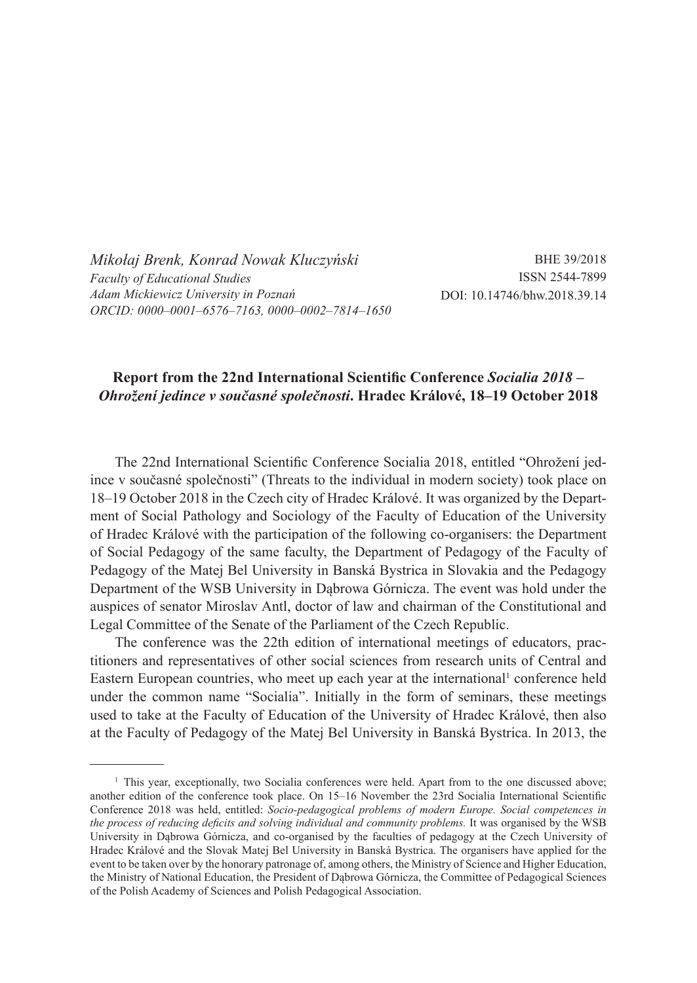*Mikołaj Brenk, Konrad Nowak Kluczyński Faculty of Educational Studies Adam Mickiewicz University in Poznań ORCID: 0000–0001–6576–7163, 0000–0002–7814–1650*

BHE 39/2018 ISSN 2544-7899 DOI: 10.14746/bhw.2018.39.14

## **Report from the 22nd International Scientific Conference** *Socialia 2018 – Ohrožení jedince v současné společnosti***. Hradec Králové, 18–19 October 2018**

The 22nd International Scientific Conference Socialia 2018, entitled "Ohrožení jedince v současné společnosti" (Threats to the individual in modern society) took place on 18–19 October 2018 in the Czech city of Hradec Králové. It was organized by the Department of Social Pathology and Sociology of the Faculty of Education of the University of Hradec Králové with the participation of the following co-organisers: the Department of Social Pedagogy of the same faculty, the Department of Pedagogy of the Faculty of Pedagogy of the Matej Bel University in Banská Bystrica in Slovakia and the Pedagogy Department of the WSB University in Dąbrowa Górnicza. The event was hold under the auspices of senator Miroslav Antl, doctor of law and chairman of the Constitutional and Legal Committee of the Senate of the Parliament of the Czech Republic.

The conference was the 22th edition of international meetings of educators, practitioners and representatives of other social sciences from research units of Central and Eastern European countries, who meet up each year at the international<sup>1</sup> conference held under the common name "Socialia". Initially in the form of seminars, these meetings used to take at the Faculty of Education of the University of Hradec Králové, then also at the Faculty of Pedagogy of the Matej Bel University in Banská Bystrica. In 2013, the

<sup>&</sup>lt;sup>1</sup> This year, exceptionally, two Socialia conferences were held. Apart from to the one discussed above; another edition of the conference took place. On 15–16 November the 23rd Socialia International Scientific Conference 2018 was held, entitled: *Socio-pedagogical problems of modern Europe. Social competences in the process of reducing deficits and solving individual and community problems.* It was organised by the WSB University in Dąbrowa Górnicza, and co-organised by the faculties of pedagogy at the Czech University of Hradec Králové and the Slovak Matej Bel University in Banská Bystrica. The organisers have applied for the event to be taken over by the honorary patronage of, among others, the Ministry of Science and Higher Education, the Ministry of National Education, the President of Dąbrowa Górnicza, the Committee of Pedagogical Sciences of the Polish Academy of Sciences and Polish Pedagogical Association.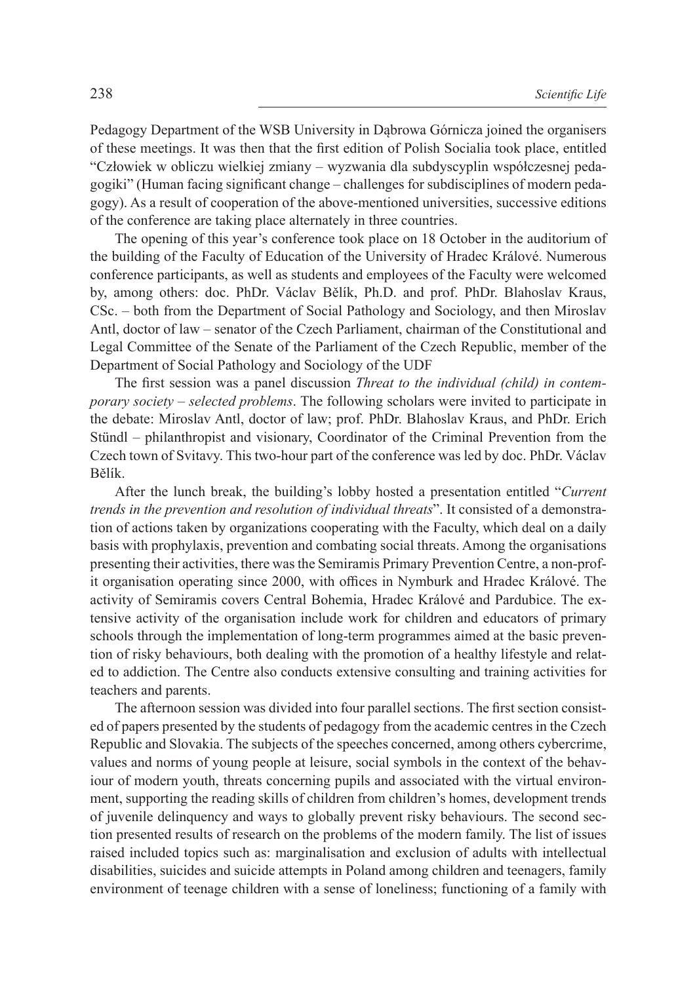Pedagogy Department of the WSB University in Dąbrowa Górnicza joined the organisers of these meetings. It was then that the first edition of Polish Socialia took place, entitled "Człowiek w obliczu wielkiej zmiany – wyzwania dla subdyscyplin współczesnej pedagogiki" (Human facing significant change – challenges for subdisciplines of modern pedagogy). As a result of cooperation of the above-mentioned universities, successive editions of the conference are taking place alternately in three countries.

The opening of this year's conference took place on 18 October in the auditorium of the building of the Faculty of Education of the University of Hradec Králové. Numerous conference participants, as well as students and employees of the Faculty were welcomed by, among others: doc. PhDr. Václav Bělík, Ph.D. and prof. PhDr. Blahoslav Kraus, CSc. – both from the Department of Social Pathology and Sociology, and then Miroslav Antl, doctor of law – senator of the Czech Parliament, chairman of the Constitutional and Legal Committee of the Senate of the Parliament of the Czech Republic, member of the Department of Social Pathology and Sociology of the UDF

The first session was a panel discussion *Threat to the individual (child) in contemporary society – selected problems*. The following scholars were invited to participate in the debate: Miroslav Antl, doctor of law; prof. PhDr. Blahoslav Kraus, and PhDr. Erich Stündl – philanthropist and visionary, Coordinator of the Criminal Prevention from the Czech town of Svitavy. This two-hour part of the conference was led by doc. PhDr. Václav Bělík.

After the lunch break, the building's lobby hosted a presentation entitled "*Current trends in the prevention and resolution of individual threats*". It consisted of a demonstration of actions taken by organizations cooperating with the Faculty, which deal on a daily basis with prophylaxis, prevention and combating social threats. Among the organisations presenting their activities, there was the Semiramis Primary Prevention Centre, a non-profit organisation operating since 2000, with offices in Nymburk and Hradec Králové. The activity of Semiramis covers Central Bohemia, Hradec Králové and Pardubice. The extensive activity of the organisation include work for children and educators of primary schools through the implementation of long-term programmes aimed at the basic prevention of risky behaviours, both dealing with the promotion of a healthy lifestyle and related to addiction. The Centre also conducts extensive consulting and training activities for teachers and parents.

The afternoon session was divided into four parallel sections. The first section consisted of papers presented by the students of pedagogy from the academic centres in the Czech Republic and Slovakia. The subjects of the speeches concerned, among others cybercrime, values and norms of young people at leisure, social symbols in the context of the behaviour of modern youth, threats concerning pupils and associated with the virtual environment, supporting the reading skills of children from children's homes, development trends of juvenile delinquency and ways to globally prevent risky behaviours. The second section presented results of research on the problems of the modern family. The list of issues raised included topics such as: marginalisation and exclusion of adults with intellectual disabilities, suicides and suicide attempts in Poland among children and teenagers, family environment of teenage children with a sense of loneliness; functioning of a family with